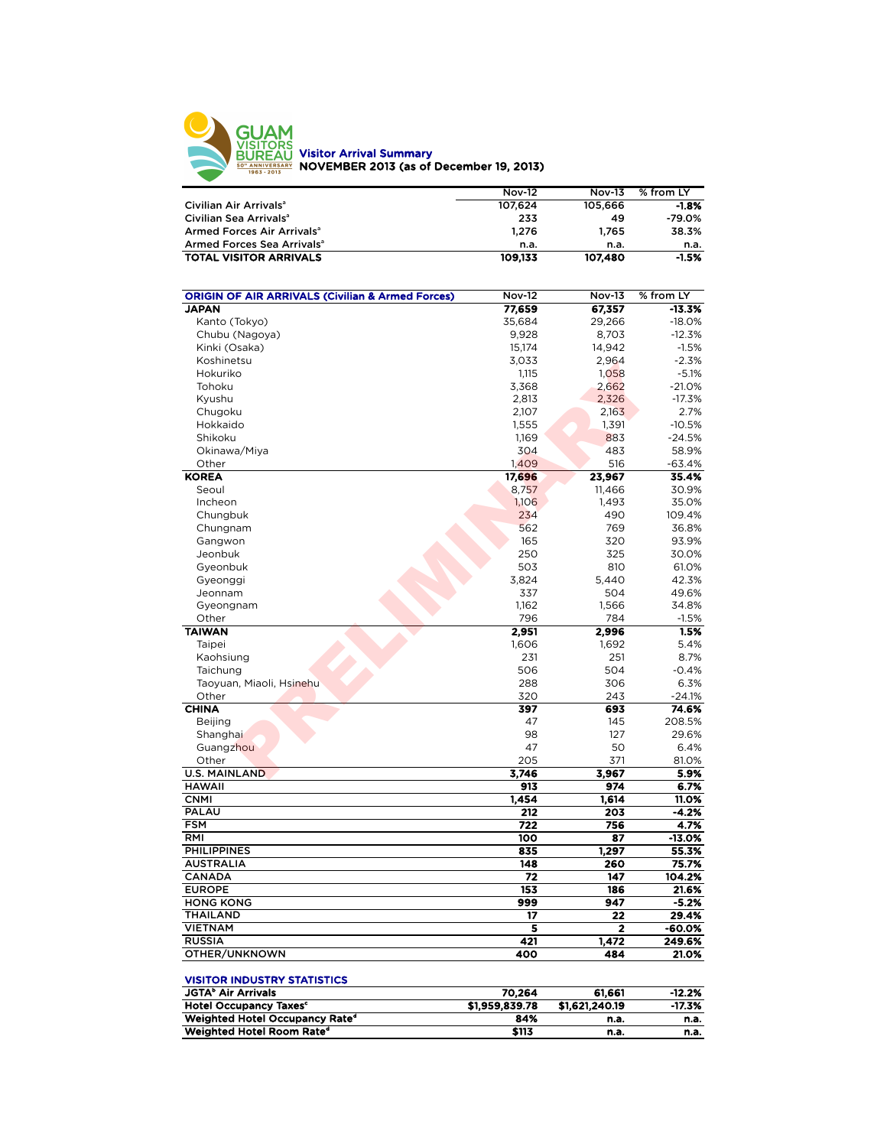

|                                        | <b>Nov-12</b> | <b>Nov-13</b> | % from LY |
|----------------------------------------|---------------|---------------|-----------|
| Civilian Air Arrivals <sup>a</sup>     | 107.624       | 105.666       | $-1.8%$   |
| Civilian Sea Arrivals <sup>a</sup>     | 233           | 49            | $-79.0%$  |
| Armed Forces Air Arrivals <sup>a</sup> | 1.276         | 1.765         | 38.3%     |
| Armed Forces Sea Arrivals <sup>a</sup> | n.a.          | n.a.          | n.a.      |
| <b>TOTAL VISITOR ARRIVALS</b>          | 109.133       | 107,480       | $-1.5%$   |

| <b>ORIGIN OF AIR ARRIVALS (Civilian &amp; Armed Forces)</b>                         | <b>Nov-12</b>  | <b>Nov-13</b>  | % from LY |
|-------------------------------------------------------------------------------------|----------------|----------------|-----------|
| <b>JAPAN</b>                                                                        | 77,659         | 67,357         | $-13.3%$  |
| Kanto (Tokyo)                                                                       | 35,684         | 29,266         | $-18.0%$  |
| Chubu (Nagoya)                                                                      | 9,928          | 8,703          | $-12.3%$  |
| Kinki (Osaka)                                                                       | 15,174         | 14,942         | $-1.5%$   |
| Koshinetsu                                                                          | 3,033          | 2,964          | $-2.3%$   |
| Hokuriko                                                                            | 1,115          | 1,058          | $-5.1%$   |
| Tohoku                                                                              | 3,368          | 2,662          | $-21.0%$  |
| Kyushu                                                                              | 2,813          | 2,326          | $-17.3%$  |
| Chugoku                                                                             | 2,107          | 2,163          | 2.7%      |
| Hokkaido                                                                            | 1,555          | 1,391          | $-10.5%$  |
| Shikoku                                                                             | 1,169          | 883            | $-24.5%$  |
| Okinawa/Miya                                                                        | 304            | 483            | 58.9%     |
| Other                                                                               | 1,409          | 516            | $-63.4%$  |
| <b>KOREA</b>                                                                        | 17,696         | 23,967         | 35.4%     |
| Seoul                                                                               | 8,757          | 11,466         | 30.9%     |
| Incheon                                                                             | 1,106          | 1,493          | 35.0%     |
| Chungbuk                                                                            | 234            | 490            | 109.4%    |
| Chungnam                                                                            | 562            | 769            | 36.8%     |
| Gangwon                                                                             | 165            | 320            | 93.9%     |
| Jeonbuk                                                                             | 250            | 325            | 30.0%     |
| Gyeonbuk                                                                            | 503            | 810            | 61.0%     |
| Gyeonggi                                                                            | 3.824          | 5.440          | 42.3%     |
| Jeonnam                                                                             | 337            | 504            | 49.6%     |
| Gyeongnam                                                                           | 1,162          | 1,566          | 34.8%     |
| Other                                                                               | 796            | 784            | $-1.5%$   |
| <b>TAIWAN</b>                                                                       | 2,951          | 2,996          | 1.5%      |
| Taipei                                                                              | 1,606          | 1,692          | 5.4%      |
| Kaohsiung                                                                           | 231            | 251            | 8.7%      |
| Taichung                                                                            | 506            | 504            | $-0.4%$   |
| Taoyuan, Miaoli, Hsinehu                                                            | 288            | 306            | 6.3%      |
| Other                                                                               | 320            | 243            | $-24.1%$  |
| <b>CHINA</b>                                                                        | 397            | 693            | 74.6%     |
| <b>Beijing</b>                                                                      | 47             | 145            | 208.5%    |
| Shanghai                                                                            | 98             | 127            | 29.6%     |
| Guangzhou                                                                           | 47             | 50             | 6.4%      |
| Other                                                                               | 205            | 371            | 81.0%     |
| <b>U.S. MAINLAND</b>                                                                | 3,746          | 3,967          | 5.9%      |
| <b>HAWAII</b>                                                                       | 913            | 974            | 6.7%      |
| <b>CNMI</b>                                                                         | 1,454          | 1,614          | 11.0%     |
| PALAU                                                                               | 212            | 203            | $-4.2%$   |
| <b>FSM</b>                                                                          | 722            | 756            | 4.7%      |
| RMI                                                                                 | 100            | 87             | $-13.0%$  |
| <b>PHILIPPINES</b>                                                                  | 835            | 1,297          | 55.3%     |
| <b>AUSTRALIA</b>                                                                    | 148            | 260            | 75.7%     |
| <b>CANADA</b>                                                                       | 72             | 147            | 104.2%    |
| <b>EUROPE</b>                                                                       | 153            | 186            | 21.6%     |
| <b>HONG KONG</b>                                                                    | 999            | 947            | $-5.2%$   |
| <b>THAILAND</b>                                                                     | 17             | 22             | 29.4%     |
| <b>VIETNAM</b>                                                                      | 5              | 2              | $-60.0%$  |
| <b>RUSSIA</b>                                                                       | 421            | 1,472          | 249.6%    |
| OTHER/UNKNOWN                                                                       | 400            | 484            | 21.0%     |
|                                                                                     |                |                |           |
| <b>VISITOR INDUSTRY STATISTICS</b>                                                  |                |                |           |
| <b>JGTA<sup>b</sup> Air Arrivals</b>                                                | 70,264         | 61,661         | $-12.2%$  |
| <b>Hotel Occupancy Taxes<sup>c</sup></b>                                            | \$1,959,839.78 | \$1,621,240.19 | $-17.3%$  |
| Weighted Hotel Occupancy Rate <sup>d</sup><br>Weighted Hotel Room Rate <sup>d</sup> | 84%<br>\$113   | n.a.           | n.a.      |
|                                                                                     |                | n.a.           | n.a.      |